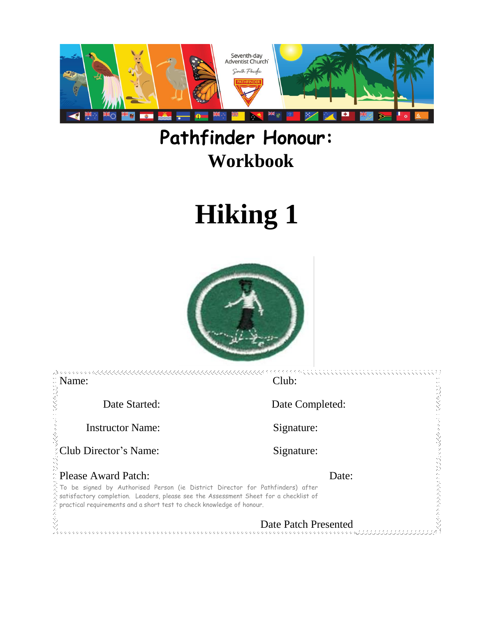

# **Pathfinder Honour: Workbook**

# **Hiking 1**



| Name:                                                                                                                                                                                                                                                       | Club:                                     |  |
|-------------------------------------------------------------------------------------------------------------------------------------------------------------------------------------------------------------------------------------------------------------|-------------------------------------------|--|
| Date Started:                                                                                                                                                                                                                                               | Date Completed:                           |  |
| <b>Instructor Name:</b>                                                                                                                                                                                                                                     | Signature:                                |  |
| Club Director's Name:                                                                                                                                                                                                                                       | Signature:                                |  |
| <b>Please Award Patch:</b>                                                                                                                                                                                                                                  | Date:                                     |  |
| To be signed by Authorised Person (ie District Director for Pathfinders) after<br>a satisfactory completion. Leaders, please see the Assessment Sheet for a checklist of<br>$\hat{z}$ practical requirements and a short test to check knowledge of honour. |                                           |  |
|                                                                                                                                                                                                                                                             | Date Patch Presented<br>そくくくかかくかかかくかかかくかい |  |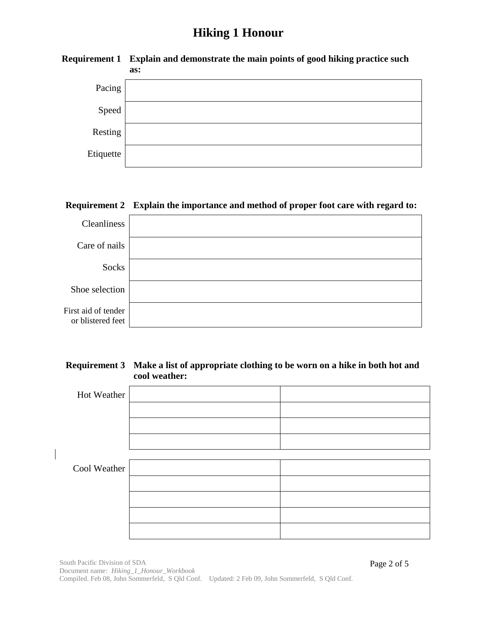|           | any comment of the comment of the comment processes of goods meaning processes served<br>as: |
|-----------|----------------------------------------------------------------------------------------------|
| Pacing    |                                                                                              |
| Speed     |                                                                                              |
| Resting   |                                                                                              |
| Etiquette |                                                                                              |

# **Requirement 1 Explain and demonstrate the main points of good hiking practice such**

#### **Requirement 2 Explain the importance and method of proper foot care with regard to:**

| Cleanliness                              |  |
|------------------------------------------|--|
| Care of nails                            |  |
| Socks                                    |  |
| Shoe selection                           |  |
| First aid of tender<br>or blistered feet |  |

#### **Requirement 3 Make a list of appropriate clothing to be worn on a hike in both hot and cool weather:**

| Hot Weather  |  |
|--------------|--|
|              |  |
|              |  |
|              |  |
|              |  |
| Cool Weather |  |
|              |  |
|              |  |
|              |  |
|              |  |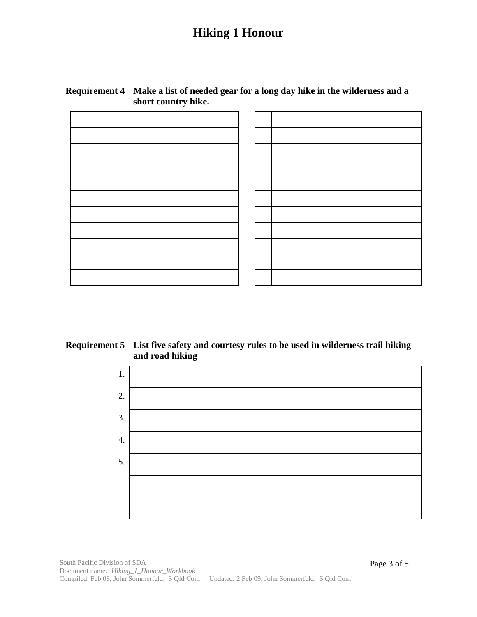#### **Requirement 4 Make a list of needed gear for a long day hike in the wilderness and a short country hike.**

#### **Requirement 5 List five safety and courtesy rules to be used in wilderness trail hiking and road hiking**

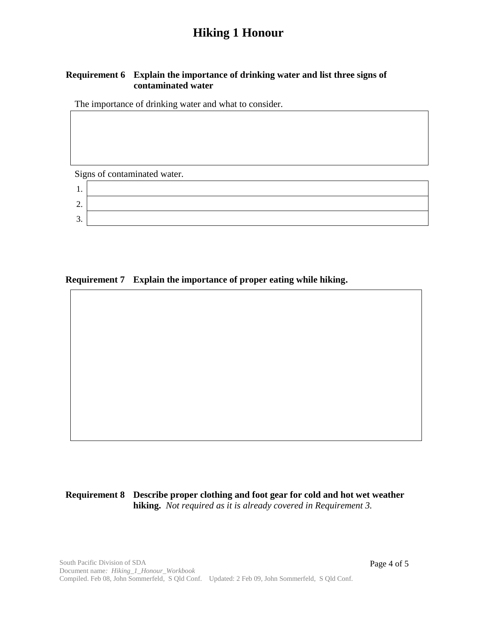#### **Requirement 6 Explain the importance of drinking water and list three signs of contaminated water**

The importance of drinking water and what to consider.

Signs of contaminated water.

| . .     |  |
|---------|--|
| ∼<br>∠. |  |
| ⌒<br>J. |  |

**Requirement 7 Explain the importance of proper eating while hiking.**

**Requirement 8 Describe proper clothing and foot gear for cold and hot wet weather hiking.** *Not required as it is already covered in Requirement 3.*